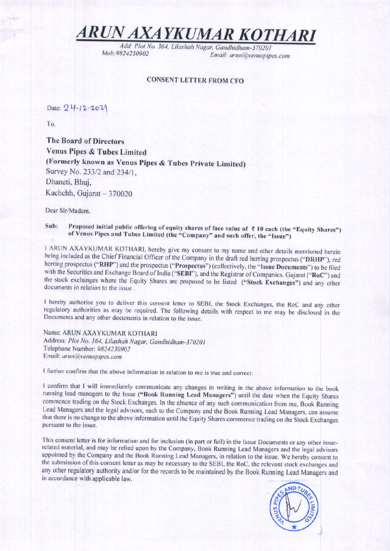## ARUN AXAYKUMAR KOTHARI

Add: Plot No. 364, Lilashah Nagar, Gandhidham-370201 Mob: 9824230902 Email: arun@venuspipes.com

### **CONSENT LETTER FROM CFO**

Date: 24.12.2021

To.

The Board of Directors **Venus Pipes & Tubes Limited** (Formerly known as Venus Pipes & Tubes Private Limited) Survey No. 233/2 and 234/1, Dhaneti, Bhuj, Kachchh, Gujarat - 370020

Dear Sir/Madam.

Proposed initial public offering of equity shares of face value of ₹10 each (the "Equity Shares") Sub: of Venus Pipes and Tubes Limited (the "Company" and such offer, the "Issue")

I ARUN AXAYKUMAR KOTHARI, hereby give my consent to my name and other details mentioned herein being included as the Chief Financial Officer of the Company in the draft red herring prospectus ("DRHP"), red herring prospectus ("RHP") and the prospectus ("Prospectus") (collectively, the "Issue Documents") to be filed with the Securities and Exchange Board of India ("SEBI"), and the Registrar of Companies, Gujarat ("RoC") and the stock exchanges where the Equity Shares are proposed to be listed ("Stock Exchanges") and any other documents in relation to the issue.

I hereby authorise you to deliver this consent letter to SEBI, the Stock Exchanges, the RoC and any other regulatory authorities as may be required. The following details with respect to me may be disclosed in the Documents and any other documents in relation to the issue.

Name: ARUN AXAYKUMAR KOTHARI Address: Plot No. 364, Lilashah Nagar, Gandhidham-370201 Telephone Number: 9824230902 Email: arun@venuspipes.com

I further confirm that the above information in relation to me is true and correct.

I confirm that I will immediately communicate any changes in writing in the above information to the book running lead managers to the Issue ("Book Running Lead Managers") until the date when the Equity Shares commence trading on the Stock Exchanges. In the absence of any such communication from me, Book Running Lead Managers and the legal advisors, each to the Company and the Book Running Lead Managers, can assume that there is no change to the above information until the Equity Shares commence trading on the Stock Exchanges pursuant to the issue.

This consent letter is for information and for inclusion (in part or full) in the Issue Documents or any other issuerelated material, and may be relied upon by the Company, Book Running Lead Managers and the legal advisors appointed by the Company and the Book Running Lead Managers, in relation to the issue. We hereby consent to the submission of this consent letter as may be necessary to the SEBI, the RoC, the relevant stock exchanges and any other regulatory authority and/or for the records to be maintained by the Book Running Lead Managers and in accordance with applicable law.